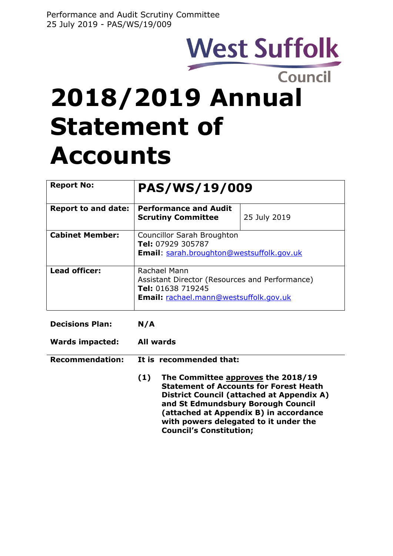# West Suffolk

# **2018/2019 Annual Statement of Accounts**

| <b>Report No:</b>          | <b>PAS/WS/19/009</b>                                                                                                          |              |
|----------------------------|-------------------------------------------------------------------------------------------------------------------------------|--------------|
| <b>Report to and date:</b> | <b>Performance and Audit</b><br><b>Scrutiny Committee</b>                                                                     | 25 July 2019 |
| <b>Cabinet Member:</b>     | <b>Councillor Sarah Broughton</b><br>Tel: 07929 305787<br><b>Email:</b> sarah.broughton@westsuffolk.gov.uk                    |              |
| Lead officer:              | Rachael Mann<br>Assistant Director (Resources and Performance)<br>Tel: 01638 719245<br>Email: rachael.mann@westsuffolk.gov.uk |              |

| <b>Decisions Plan:</b> | N/A                                                                                                                                                                           |  |
|------------------------|-------------------------------------------------------------------------------------------------------------------------------------------------------------------------------|--|
| <b>Wards impacted:</b> | <b>All wards</b>                                                                                                                                                              |  |
| <b>Recommendation:</b> | It is recommended that:                                                                                                                                                       |  |
|                        | The Committee approves the 2018/19<br>(1)<br><b>Statement of Accounts for Forest Heath</b><br>District Council (attached at Appendix A)<br>and St Edmundsbury Borough Council |  |

**Council's Constitution;**

**(attached at Appendix B) in accordance with powers delegated to it under the**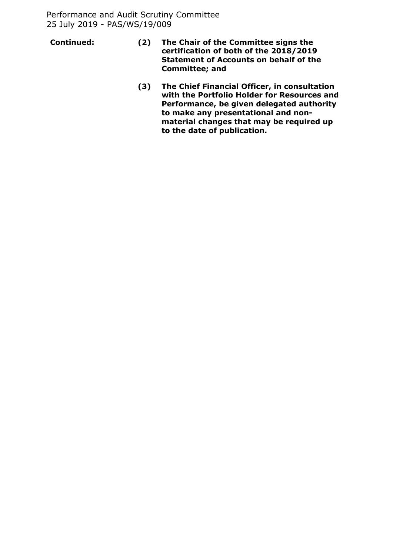- **Continued: (2) The Chair of the Committee signs the certification of both of the 2018/2019 Statement of Accounts on behalf of the Committee; and**
	- **(3) The Chief Financial Officer, in consultation with the Portfolio Holder for Resources and Performance, be given delegated authority to make any presentational and nonmaterial changes that may be required up to the date of publication.**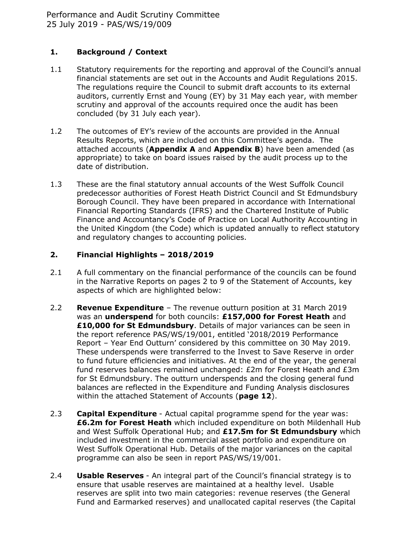# **1. Background / Context**

- 1.1 Statutory requirements for the reporting and approval of the Council's annual financial statements are set out in the Accounts and Audit Regulations 2015. The regulations require the Council to submit draft accounts to its external auditors, currently Ernst and Young (EY) by 31 May each year, with member scrutiny and approval of the accounts required once the audit has been concluded (by 31 July each year).
- 1.2 The outcomes of EY's review of the accounts are provided in the Annual Results Reports, which are included on this Committee's agenda. The attached accounts (**Appendix A** and **Appendix B**) have been amended (as appropriate) to take on board issues raised by the audit process up to the date of distribution.
- 1.3 These are the final statutory annual accounts of the West Suffolk Council predecessor authorities of Forest Heath District Council and St Edmundsbury Borough Council. They have been prepared in accordance with International Financial Reporting Standards (IFRS) and the Chartered Institute of Public Finance and Accountancy's Code of Practice on Local Authority Accounting in the United Kingdom (the Code) which is updated annually to reflect statutory and regulatory changes to accounting policies.

# **2. Financial Highlights – 2018/2019**

- 2.1 A full commentary on the financial performance of the councils can be found in the Narrative Reports on pages 2 to 9 of the Statement of Accounts, key aspects of which are highlighted below:
- 2.2 **Revenue Expenditure** The revenue outturn position at 31 March 2019 was an **underspend** for both councils: **£157,000 for Forest Heath** and **£10,000 for St Edmundsbury**. Details of major variances can be seen in the report reference PAS/WS/19/001, entitled '2018/2019 Performance Report – Year End Outturn' considered by this committee on 30 May 2019. These underspends were transferred to the Invest to Save Reserve in order to fund future efficiencies and initiatives. At the end of the year, the general fund reserves balances remained unchanged: £2m for Forest Heath and £3m for St Edmundsbury. The outturn underspends and the closing general fund balances are reflected in the Expenditure and Funding Analysis disclosures within the attached Statement of Accounts (**page 12**).
- 2.3 **Capital Expenditure** Actual capital programme spend for the year was: **£6.2m for Forest Heath** which included expenditure on both Mildenhall Hub and West Suffolk Operational Hub; and **£17.5m for St Edmundsbury** which included investment in the commercial asset portfolio and expenditure on West Suffolk Operational Hub. Details of the major variances on the capital programme can also be seen in report PAS/WS/19/001.
- 2.4 **Usable Reserves** An integral part of the Council's financial strategy is to ensure that usable reserves are maintained at a healthy level. Usable reserves are split into two main categories: revenue reserves (the General Fund and Earmarked reserves) and unallocated capital reserves (the Capital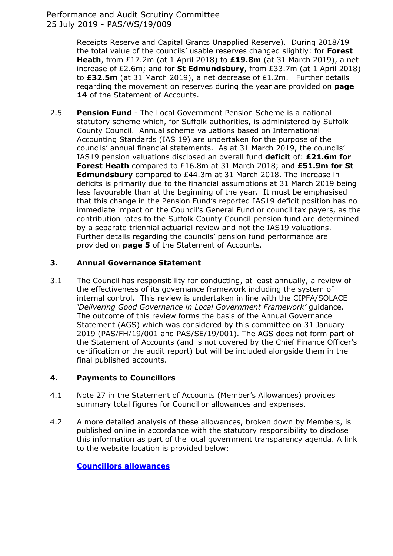Receipts Reserve and Capital Grants Unapplied Reserve). During 2018/19 the total value of the councils' usable reserves changed slightly: for **Forest Heath**, from £17.2m (at 1 April 2018) to **£19.8m** (at 31 March 2019), a net increase of £2.6m; and for **St Edmundsbury**, from £33.7m (at 1 April 2018) to **£32.5m** (at 31 March 2019), a net decrease of £1.2m. Further details regarding the movement on reserves during the year are provided on **page** 14 of the Statement of Accounts.

2.5 **Pension Fund** - The Local Government Pension Scheme is a national statutory scheme which, for Suffolk authorities, is administered by Suffolk County Council. Annual scheme valuations based on International Accounting Standards (IAS 19) are undertaken for the purpose of the councils' annual financial statements. As at 31 March 2019, the councils' IAS19 pension valuations disclosed an overall fund **deficit** of: **£21.6m for Forest Heath** compared to £16.8m at 31 March 2018; and **£51.9m for St Edmundsbury** compared to £44.3m at 31 March 2018. The increase in deficits is primarily due to the financial assumptions at 31 March 2019 being less favourable than at the beginning of the year. It must be emphasised that this change in the Pension Fund's reported IAS19 deficit position has no immediate impact on the Council's General Fund or council tax payers, as the contribution rates to the Suffolk County Council pension fund are determined by a separate triennial actuarial review and not the IAS19 valuations. Further details regarding the councils' pension fund performance are provided on **page 5** of the Statement of Accounts.

# **3. Annual Governance Statement**

3.1 The Council has responsibility for conducting, at least annually, a review of the effectiveness of its governance framework including the system of internal control. This review is undertaken in line with the CIPFA/SOLACE *'Delivering Good Governance in Local Government Framework'* guidance. The outcome of this review forms the basis of the Annual Governance Statement (AGS) which was considered by this committee on 31 January 2019 (PAS/FH/19/001 and PAS/SE/19/001). The AGS does not form part of the Statement of Accounts (and is not covered by the Chief Finance Officer's certification or the audit report) but will be included alongside them in the final published accounts.

# **4. Payments to Councillors**

- 4.1 Note 27 in the Statement of Accounts (Member's Allowances) provides summary total figures for Councillor allowances and expenses.
- 4.2 A more detailed analysis of these allowances, broken down by Members, is published online in accordance with the statutory responsibility to disclose this information as part of the local government transparency agenda. A link to the website location is provided below:

# **[Councillors](https://www.westsuffolk.gov.uk/council/finance_and_statistics/councillorsallowances.cfm?aud=council) allowances**